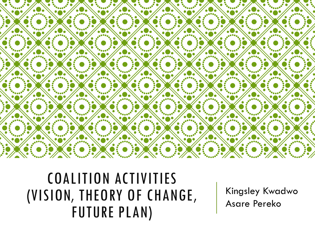

#### COALITION ACTIVITIES (VISION, THEORY OF CHANGE, FUTURE PLAN)

Kingsley Kwadwo Asare Pereko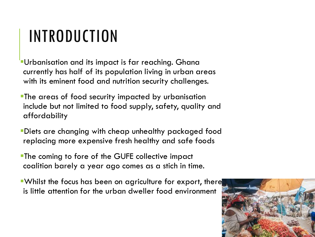## INTRODUCTION

- Urbanisation and its impact is far reaching. Ghana currently has half of its population living in urban areas with its eminent food and nutrition security challenges.
- **The areas of food security impacted by urbanisation** include but not limited to food supply, safety, quality and affordability
- ▪Diets are changing with cheap unhealthy packaged food replacing more expensive fresh healthy and safe foods
- **The coming to fore of the GUFE collective impact** coalition barely a year ago comes as a stich in time.
- **. Whilst the focus has been on agriculture for export, there** is little attention for the urban dweller food environment

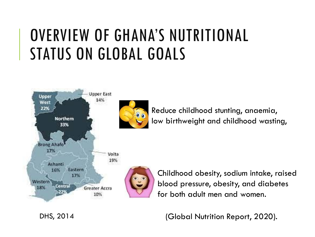#### OVERVIEW OF GHANA'S NUTRITIONAL STATUS ON GLOBAL GOALS



Reduce childhood stunting, anaemia, low birthweight and childhood wasting,



Childhood obesity, sodium intake, raised blood pressure, obesity, and diabetes for both adult men and women.

(Global Nutrition Report, 2020).

DHS, 2014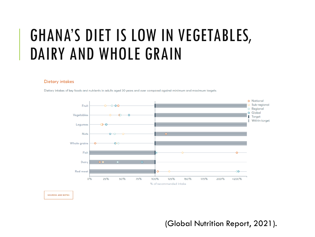#### GHANA'S DIET IS LOW IN VEGETABLES, DAIRY AND WHOLE GRAIN

#### **Dietary intakes**

Dietary intakes of key foods and nutrients in adults aged 20 years and over compared against minimum and maximum targets



**SOURCES AND NOTES** 

(Global Nutrition Report, 2021).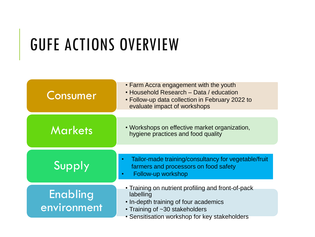# GUFE ACTIONS OVERVIEW

| Consumer                | • Farm Accra engagement with the youth<br>• Household Research - Data / education<br>• Follow-up data collection in February 2022 to<br>evaluate impact of workshops                        |
|-------------------------|---------------------------------------------------------------------------------------------------------------------------------------------------------------------------------------------|
| Markets                 | • Workshops on effective market organization,<br>hygiene practices and food quality                                                                                                         |
| Supply                  | Tailor-made training/consultancy for vegetable/fruit<br>farmers and processors on food safety<br>Follow-up workshop                                                                         |
| Enabling<br>environment | • Training on nutrient profiling and front-of-pack<br>labelling<br>• In-depth training of four academics<br>• Training of ~30 stakeholders<br>• Sensitisation workshop for key stakeholders |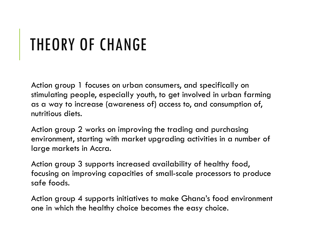## THEORY OF CHANGE

Action group 1 focuses on urban consumers, and specifically on stimulating people, especially youth, to get involved in urban farming as a way to increase (awareness of) access to, and consumption of, nutritious diets.

Action group 2 works on improving the trading and purchasing environment, starting with market upgrading activities in a number of large markets in Accra.

Action group 3 supports increased availability of healthy food, focusing on improving capacities of small-scale processors to produce safe foods.

Action group 4 supports initiatives to make Ghana's food environment one in which the healthy choice becomes the easy choice.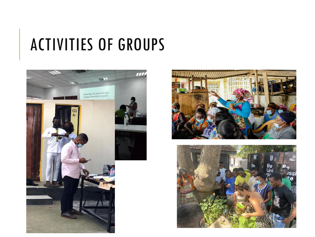### ACTIVITIES OF GROUPS





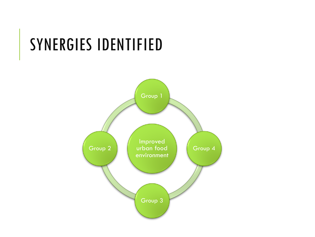#### SYNERGIES IDENTIFIED

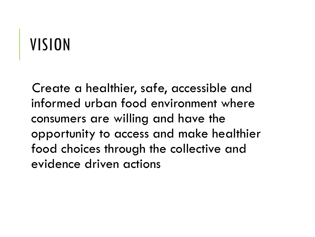# VISION

Create a healthier, safe, accessible and informed urban food environment where consumers are willing and have the opportunity to access and make healthier food choices through the collective and evidence driven actions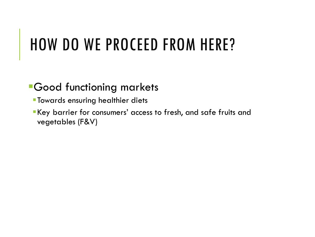## HOW DO WE PROCEED FROM HERE?

#### **•Good functioning markets**

- **Towards ensuring healthier diets**
- ▪Key barrier for consumers' access to fresh, and safe fruits and vegetables (F&V)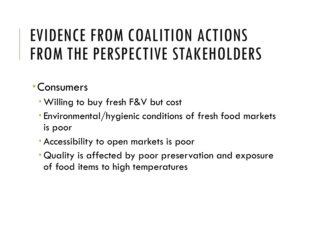#### Consumers

- Willing to buy fresh F&V but cost
- Environmental/hygienic conditions of fresh food markets is poor
- Accessibility to open markets is poor
- Quality is affected by poor preservation and exposure of food items to high temperatures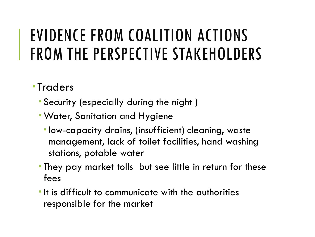- **Traders** 
	- Security (especially during the night )
	- Water, Sanitation and Hygiene
		- low-capacity drains, (insufficient) cleaning, waste management, lack of toilet facilities, hand washing stations, potable water
	- They pay market tolls but see little in return for these fees
	- **If is difficult to communicate with the authorities** responsible for the market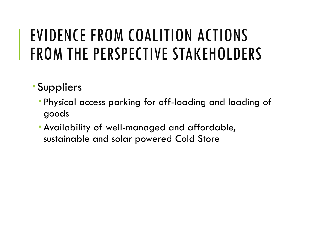- Suppliers
	- Physical access parking for off-loading and loading of goods
	- Availability of well-managed and affordable, sustainable and solar powered Cold Store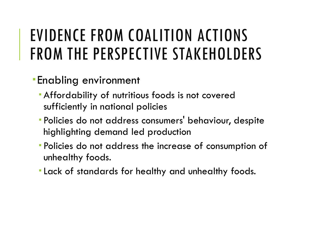- Enabling environment
	- Affordability of nutritious foods is not covered sufficiently in national policies
	- Policies do not address consumers' behaviour, despite highlighting demand led production
	- Policies do not address the increase of consumption of unhealthy foods.
	- Lack of standards for healthy and unhealthy foods.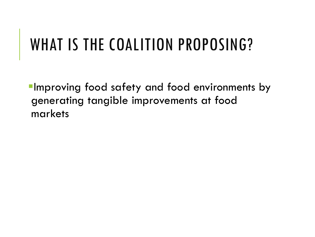## WHAT IS THE COALITION PROPOSING?

**Improving food safety and food environments by** generating tangible improvements at food markets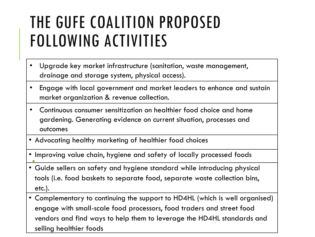#### THE GUFE COALITION PROPOSED FOLLOWING ACTIVITIES

- Upgrade key market infrastructure (sanitation, waste management, drainage and storage system, physical access).
- Engage with local government and market leaders to enhance and sustain market organization & revenue collection.
- Continuous consumer sensitization on healthier food choice and home gardening. Generating evidence on current situation, processes and outcomes
- Advocating healthy marketing of healthier food choices
- Improving value chain, hygiene and safety of locally processed foods
- Guide sellers on safety and hygiene standard while introducing physical tools (i.e. food baskets to separate food, separate waste collection bins, etc.).
- Complementary to continuing the support to HD4HL (which is well organised) engage with small-scale food processors, food traders and street food vendors and find ways to help them to leverage the HD4HL standards and selling healthier foods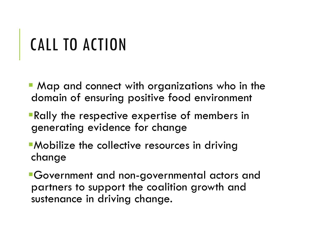# CALL TO ACTION

- Map and connect with organizations who in the domain of ensuring positive food environment
- **Rally the respective expertise of members in** generating evidence for change
- **-Mobilize the collective resources in driving** change
- ▪Government and non-governmental actors and partners to support the coalition growth and sustenance in driving change.